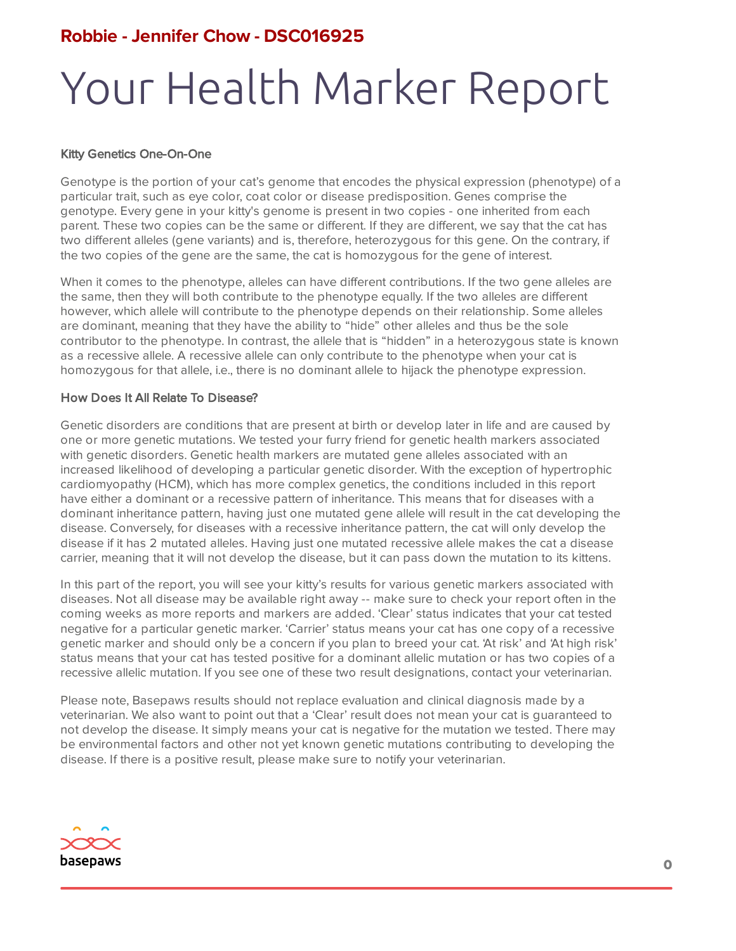#### **Robbie - Jennifer Chow - DSC016925**

### Your Health Marker Report

#### Kitty Genetics One-On-One

Genotype is the portion of your cat's genome that encodes the physical expression (phenotype) of a particular trait, such as eye color, coat color or disease predisposition. Genes comprise the genotype. Every gene in your kitty's genome is present in two copies - one inherited from each parent. These two copies can be the same or different. If they are different, we say that the cat has two different alleles (gene variants) and is, therefore, heterozygous for this gene. On the contrary, if the two copies of the gene are the same, the cat is homozygous for the gene of interest.

When it comes to the phenotype, alleles can have different contributions. If the two gene alleles are the same, then they will both contribute to the phenotype equally. If the two alleles are different however, which allele will contribute to the phenotype depends on their relationship. Some alleles are dominant, meaning that they have the ability to "hide" other alleles and thus be the sole contributor to the phenotype. In contrast, the allele that is "hidden" in a heterozygous state is known as a recessive allele. A recessive allele can only contribute to the phenotype when your cat is homozygous for that allele, i.e., there is no dominant allele to hijack the phenotype expression.

#### How Does It All Relate To Disease?

Genetic disorders are conditions that are present at birth or develop later in life and are caused by one or more genetic mutations. We tested your furry friend for genetic health markers associated with genetic disorders. Genetic health markers are mutated gene alleles associated with an increased likelihood of developing a particular genetic disorder. With the exception of hypertrophic cardiomyopathy (HCM), which has more complex genetics, the conditions included in this report have either a dominant or a recessive pattern of inheritance. This means that for diseases with a dominant inheritance pattern, having just one mutated gene allele will result in the cat developing the disease. Conversely, for diseases with a recessive inheritance pattern, the cat will only develop the disease if it has 2 mutated alleles. Having just one mutated recessive allele makes the cat a disease carrier, meaning that it will not develop the disease, but it can pass down the mutation to its kittens.

In this part of the report, you will see your kitty's results for various genetic markers associated with diseases. Not all disease may be available right away -- make sure to check your report often in the coming weeks as more reports and markers are added. 'Clear' status indicates that your cat tested negative for a particular genetic marker. 'Carrier' status means your cat has one copy of a recessive genetic marker and should only be a concern if you plan to breed your cat. 'At risk' and 'At high risk' status means that your cat has tested positive for a dominant allelic mutation or has two copies of a recessive allelic mutation. If you see one of these two result designations, contact your veterinarian.

Please note, Basepaws results should not replace evaluation and clinical diagnosis made by a veterinarian. We also want to point out that a 'Clear' result does not mean your cat is guaranteed to not develop the disease. It simply means your cat is negative for the mutation we tested. There may be environmental factors and other not yet known genetic mutations contributing to developing the disease. If there is a positive result, please make sure to notify your veterinarian.

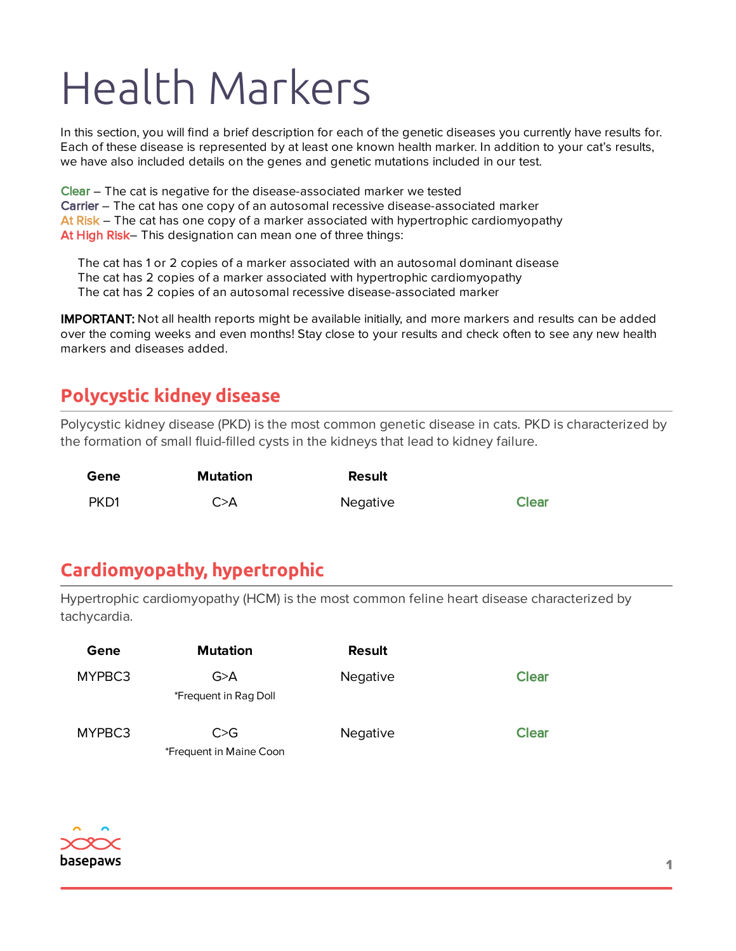In this section, you will find a brief description for each of the genetic diseases you currently have results for. Each of these disease is represented by at least one known health marker. In addition to your cat's results, we have also included details on the genes and genetic mutations included in our test.

Clear – The cat is negative for the disease-associated marker we tested Carrier – The cat has one copy of an autosomal recessive disease-associated marker At Risk – The cat has one copy of a marker associated with hypertrophic cardiomyopathy At High Risk– This designation can mean one of three things:

The cat has 1 or 2 copies of a marker associated with an autosomal dominant disease The cat has 2 copies of a marker associated with hypertrophic cardiomyopathy The cat has 2 copies of an autosomal recessive disease-associated marker

IMPORTANT: Not all health reports might be available initially, and more markers and results can be added over the coming weeks and even months! Stay close to your results and check often to see any new health markers and diseases added.

#### **Polycystic kidney disease**

Polycystic kidney disease (PKD) is the most common genetic disease in cats. PKD is characterized by the formation of small fluid-filled cysts in the kidneys that lead to kidney failure.

| Gene | <b>Mutation</b> | Result   |              |
|------|-----------------|----------|--------------|
| PKD1 | C > A           | Negative | <b>Clear</b> |

### **Cardiomyopathy, hypertrophic**

Hypertrophic cardiomyopathy (HCM) is the most common feline heart disease characterized by tachycardia.

| Gene   | <b>Mutation</b>                | <b>Result</b> |              |
|--------|--------------------------------|---------------|--------------|
| MYPBC3 | G>A<br>*Frequent in Rag Doll   | Negative      | <b>Clear</b> |
| MYPBC3 | C>G<br>*Frequent in Maine Coon | Negative      | <b>Clear</b> |

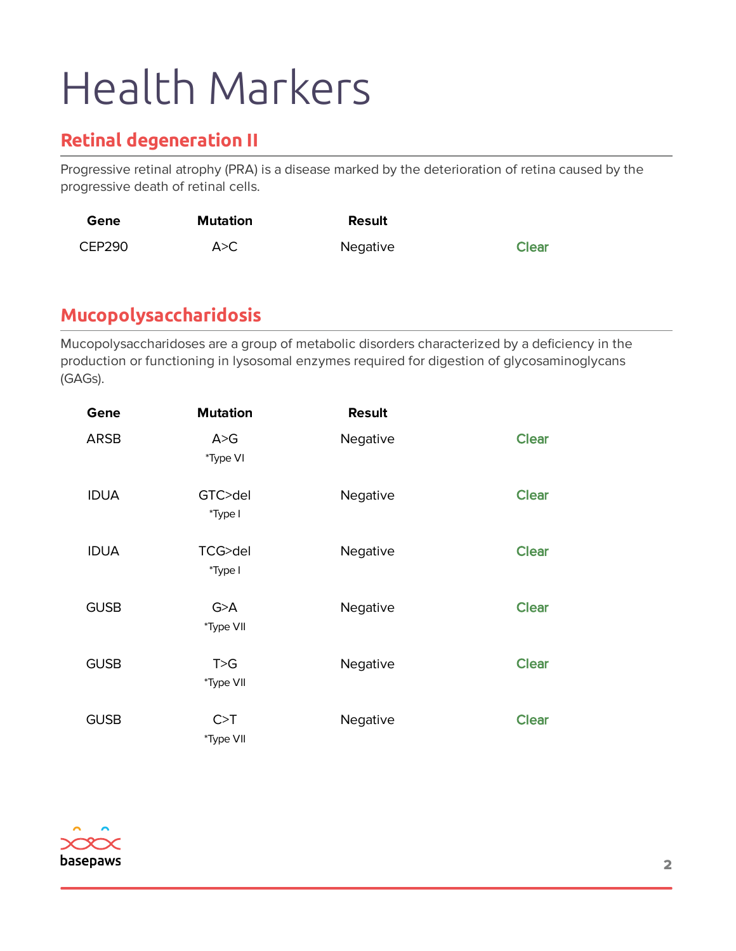#### **Retinal degeneration II**

Progressive retinal atrophy (PRA) is a disease marked by the deterioration of retina caused by the progressive death of retinal cells.

| Gene          | Mutation | <b>Result</b> |              |
|---------------|----------|---------------|--------------|
| <b>CEP290</b> | A>C      | Negative      | <b>Clear</b> |

#### **Mucopolysaccharidosis**

Mucopolysaccharidoses are a group of metabolic disorders characterized by a deficiency in the production or functioning in lysosomal enzymes required for digestion of glycosaminoglycans (GAGs).

| Gene        | <b>Mutation</b>    | <b>Result</b> |              |
|-------------|--------------------|---------------|--------------|
| <b>ARSB</b> | A > G<br>*Type VI  | Negative      | <b>Clear</b> |
| <b>IDUA</b> | GTC>del<br>*Type I | Negative      | <b>Clear</b> |
| <b>IDUA</b> | TCG>del<br>*Type I | Negative      | <b>Clear</b> |
| <b>GUSB</b> | G > A<br>*Type VII | Negative      | <b>Clear</b> |
| <b>GUSB</b> | T>G<br>*Type VII   | Negative      | <b>Clear</b> |
| <b>GUSB</b> | C > T<br>*Type VII | Negative      | <b>Clear</b> |

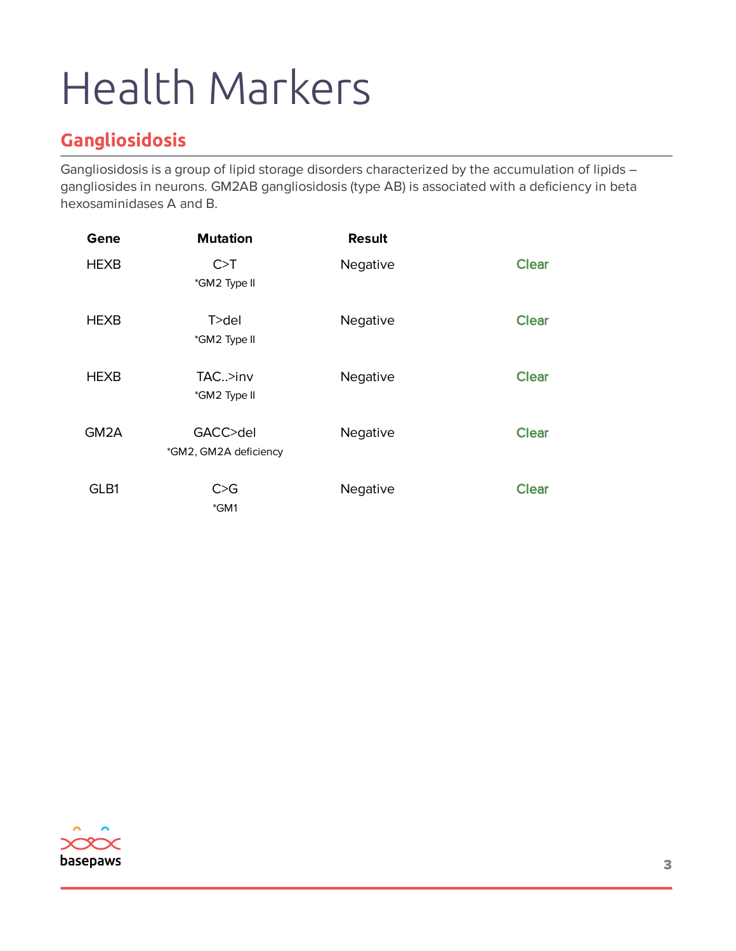### **Gangliosidosis**

Gangliosidosis is a group of lipid storage disorders characterized by the accumulation of lipids – gangliosides in neurons. GM2AB gangliosidosis (type AB) is associated with a deficiency in beta hexosaminidases A and B.

| Gene              | <b>Mutation</b>                   | <b>Result</b> |              |
|-------------------|-----------------------------------|---------------|--------------|
| <b>HEXB</b>       | C > T<br>*GM2 Type II             | Negative      | <b>Clear</b> |
|                   |                                   |               |              |
| <b>HEXB</b>       | $T >$ del<br>*GM2 Type II         | Negative      | <b>Clear</b> |
|                   |                                   |               |              |
| <b>HEXB</b>       | $TAC.$ >inv<br>*GM2 Type II       | Negative      | <b>Clear</b> |
|                   |                                   |               |              |
| GM <sub>2</sub> A | GACC>del<br>*GM2, GM2A deficiency | Negative      | <b>Clear</b> |
|                   |                                   |               |              |
| GLB1              | C > G<br>*GM1                     | Negative      | <b>Clear</b> |

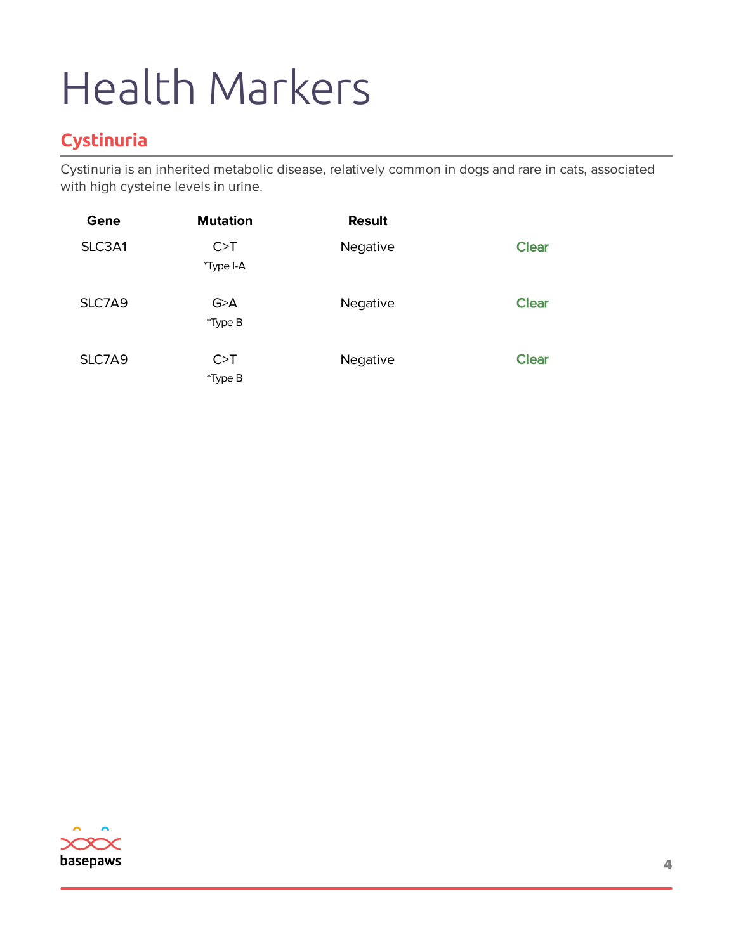### **Cystinuria**

Cystinuria is an inherited metabolic disease, relatively common in dogs and rare in cats, associated with high cysteine levels in urine.

| Gene   | <b>Mutation</b>    | <b>Result</b> |              |
|--------|--------------------|---------------|--------------|
| SLC3A1 | C > T<br>*Type I-A | Negative      | <b>Clear</b> |
| SLC7A9 | G > A<br>*Type B   | Negative      | <b>Clear</b> |
| SLC7A9 | C > T<br>*Type B   | Negative      | <b>Clear</b> |

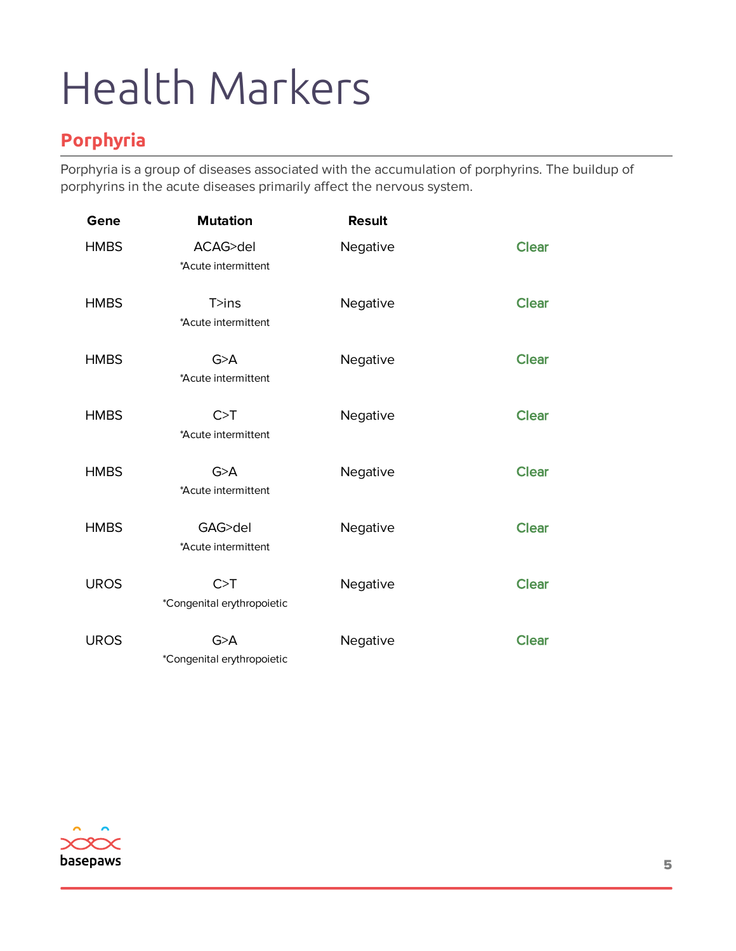#### **Porphyria**

Porphyria is a group of diseases associated with the accumulation of porphyrins. The buildup of porphyrins in the acute diseases primarily affect the nervous system.

| Gene        | <b>Mutation</b>                     | <b>Result</b> |              |
|-------------|-------------------------------------|---------------|--------------|
| <b>HMBS</b> | ACAG>del<br>*Acute intermittent     | Negative      | <b>Clear</b> |
| <b>HMBS</b> | T>ins<br>*Acute intermittent        | Negative      | <b>Clear</b> |
| <b>HMBS</b> | G > A<br>*Acute intermittent        | Negative      | <b>Clear</b> |
| <b>HMBS</b> | C > T<br>*Acute intermittent        | Negative      | <b>Clear</b> |
| <b>HMBS</b> | G > A<br>*Acute intermittent        | Negative      | <b>Clear</b> |
| <b>HMBS</b> | GAG>del<br>*Acute intermittent      | Negative      | <b>Clear</b> |
| <b>UROS</b> | C > T<br>*Congenital erythropoietic | Negative      | <b>Clear</b> |
| <b>UROS</b> | G > A<br>*Congenital erythropoietic | Negative      | <b>Clear</b> |

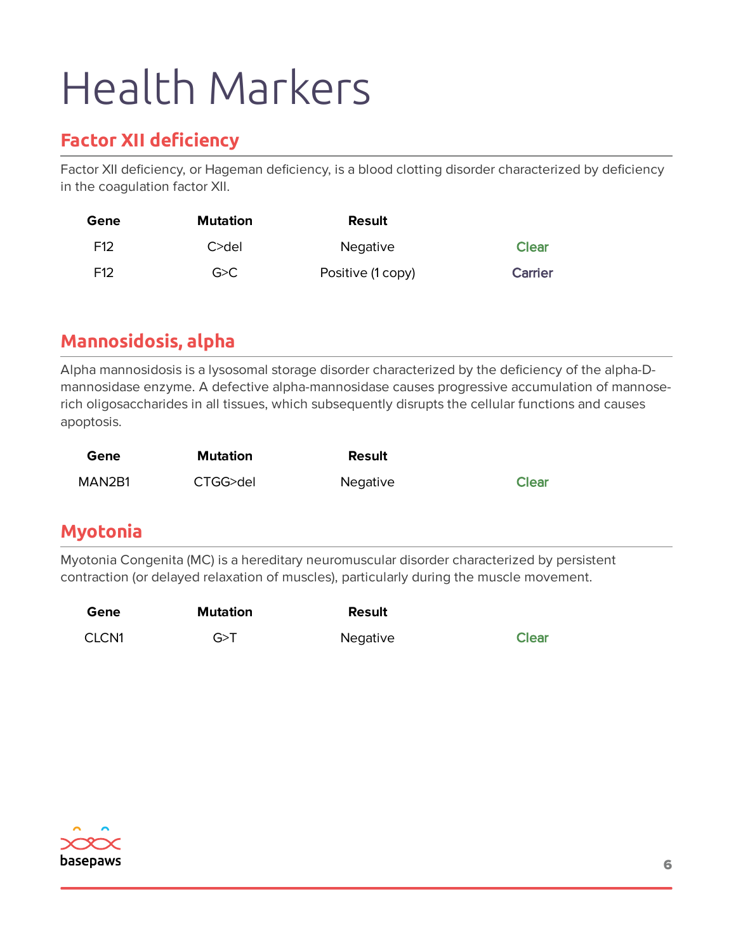#### **Factor XII deficiency**

Factor XII deficiency, or Hageman deficiency, is a blood clotting disorder characterized by deficiency in the coagulation factor XII.

| Gene            | <b>Mutation</b> | Result            |                |
|-----------------|-----------------|-------------------|----------------|
| F <sub>12</sub> | C>del           | <b>Negative</b>   | <b>Clear</b>   |
| F <sub>12</sub> | G > C           | Positive (1 copy) | <b>Carrier</b> |

#### **Mannosidosis, alpha**

Alpha mannosidosis is a lysosomal storage disorder characterized by the deficiency of the alpha-Dmannosidase enzyme. A defective alpha-mannosidase causes progressive accumulation of mannoserich oligosaccharides in all tissues, which subsequently disrupts the cellular functions and causes apoptosis.

| Gene   | Mutation | Result          |       |
|--------|----------|-----------------|-------|
| MAN2B1 | CTGG>del | <b>Negative</b> | Clear |

#### **Myotonia**

Myotonia Congenita (MC) is a hereditary neuromuscular disorder characterized by persistent contraction (or delayed relaxation of muscles), particularly during the muscle movement.

| Gene  | Mutation | Result   |              |
|-------|----------|----------|--------------|
| CLCN1 | G > T    | Negative | <b>Clear</b> |

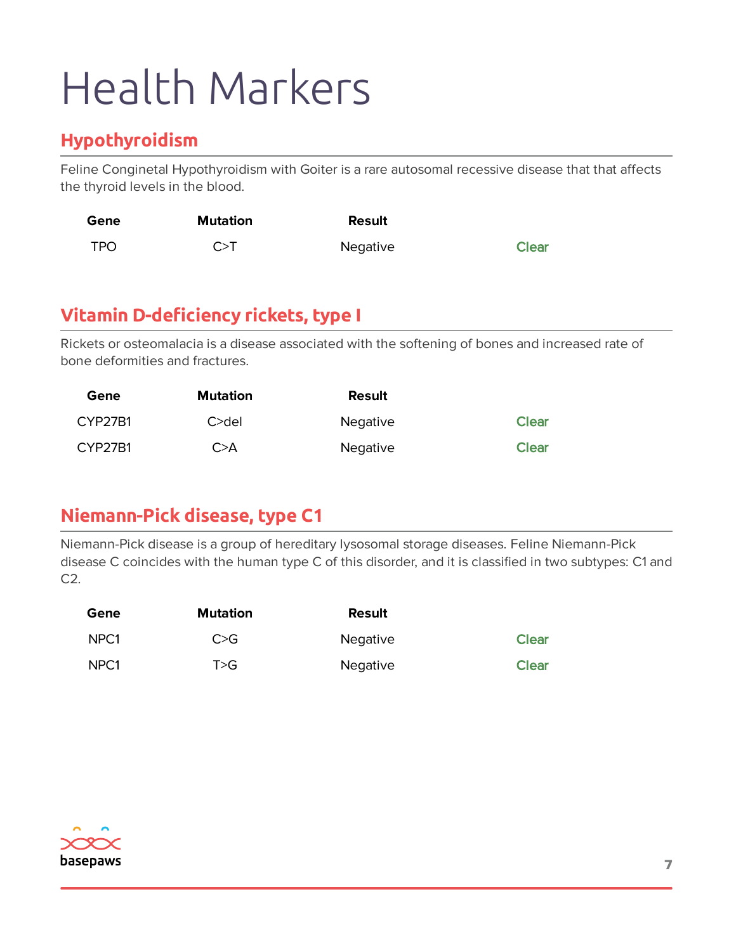#### **Hypothyroidism**

Feline Conginetal Hypothyroidism with Goiter is a rare autosomal recessive disease that that affects the thyroid levels in the blood.

| Gene       | Mutation | Result   |              |
|------------|----------|----------|--------------|
| <b>TPO</b> | $C>$ T   | Negative | <b>Clear</b> |

#### **Vitamin D-deficiency rickets, type I**

Rickets or osteomalacia is a disease associated with the softening of bones and increased rate of bone deformities and fractures.

| Gene    | <b>Mutation</b> | <b>Result</b>   |              |
|---------|-----------------|-----------------|--------------|
| CYP27B1 | $C >$ del       | <b>Negative</b> | <b>Clear</b> |
| CYP27B1 | C>A             | Negative        | <b>Clear</b> |

#### **Niemann-Pick disease, type C1**

Niemann-Pick disease is a group of hereditary lysosomal storage diseases. Feline Niemann-Pick disease C coincides with the human type C of this disorder, and it is classified in two subtypes: C1 and C2.

| Gene             | <b>Mutation</b> | <b>Result</b>   |              |
|------------------|-----------------|-----------------|--------------|
| NPC <sub>1</sub> | C>G             | <b>Negative</b> | <b>Clear</b> |
| NPC <sub>1</sub> | T>G             | Negative        | <b>Clear</b> |